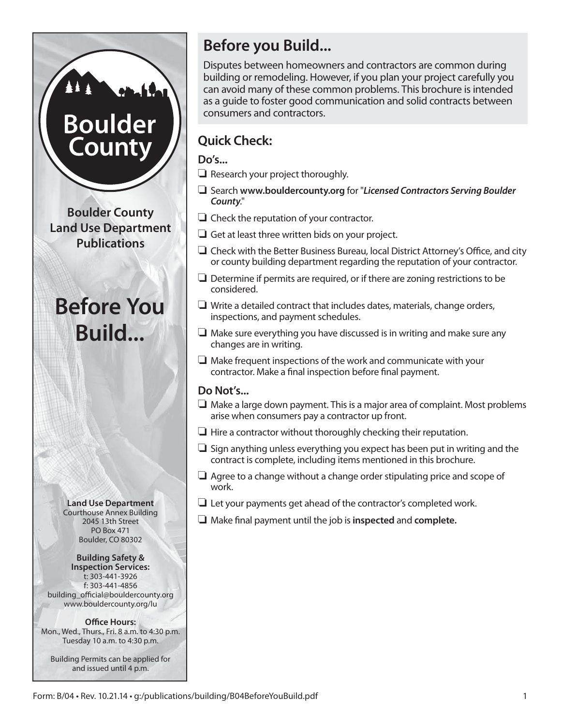# **Before you Build...**

Disputes between homeowners and contractors are common during building or remodeling. However, if you plan your project carefully you can avoid many of these common problems. This brochure is intended as a guide to foster good communication and solid contracts between consumers and contractors.

# **Quick Check:**

**Do's...**

- $\Box$  Research your project thoroughly.
- R Search **www.bouldercounty.org** for "*Licensed Contractors Serving Boulder County*."
- $\Box$  Check the reputation of your contractor.
- $\Box$  Get at least three written bids on your project.
- $\Box$  Check with the Better Business Bureau, local District Attorney's Office, and city or county building department regarding the reputation of your contractor.
- $\Box$  Determine if permits are required, or if there are zoning restrictions to be considered.
- $\Box$  Write a detailed contract that includes dates, materials, change orders, inspections, and payment schedules.
- $\Box$  Make sure everything you have discussed is in writing and make sure any changes are in writing.
- $\Box$  Make frequent inspections of the work and communicate with your contractor. Make a final inspection before final payment.

# **Do Not's...**

- $\Box$  Make a large down payment. This is a major area of complaint. Most problems arise when consumers pay a contractor up front.
- $\Box$  Hire a contractor without thoroughly checking their reputation.
- $\Box$  Sign anything unless everything you expect has been put in writing and the contract is complete, including items mentioned in this brochure.
- $\Box$  Agree to a change without a change order stipulating price and scope of work.
- $\Box$  Let your payments get ahead of the contractor's completed work.
- R Make final payment until the job is **inspected** and **complete.**

**Boulder County Land Use Department Publications**

**Boulder** 

Count

# **Before You Build...**

**Land Use Department** Courthouse Annex Building 2045 13th Street PO Box 471 Boulder, CO 80302

**Building Safety & Inspection Services:** t: 303-441-3926 f: 303-441-4856 building\_official@bouldercounty.org www.bouldercounty.org/lu

**Office Hours:** Mon., Wed., Thurs., Fri. 8 a.m. to 4:30 p.m. Tuesday 10 a.m. to 4:30 p.m.

Building Permits can be applied for and issued until 4 p.m.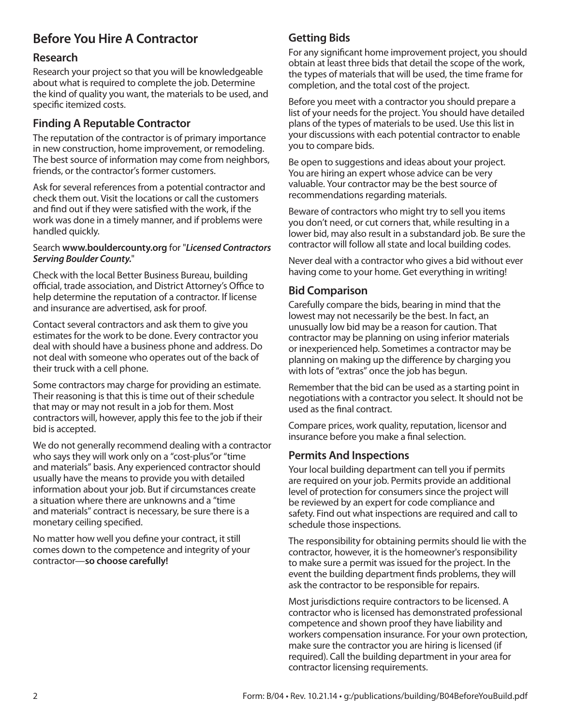# **Before You Hire A Contractor**

#### **Research**

Research your project so that you will be knowledgeable about what is required to complete the job. Determine the kind of quality you want, the materials to be used, and specific itemized costs.

### **Finding A Reputable Contractor**

The reputation of the contractor is of primary importance in new construction, home improvement, or remodeling. The best source of information may come from neighbors, friends, or the contractor's former customers.

Ask for several references from a potential contractor and check them out. Visit the locations or call the customers and find out if they were satisfied with the work, if the work was done in a timely manner, and if problems were handled quickly.

#### Search **www.bouldercounty.org** for "*Licensed Contractors Serving Boulder County.*"

Check with the local Better Business Bureau, building official, trade association, and District Attorney's Office to help determine the reputation of a contractor. If license and insurance are advertised, ask for proof.

Contact several contractors and ask them to give you estimates for the work to be done. Every contractor you deal with should have a business phone and address. Do not deal with someone who operates out of the back of their truck with a cell phone.

Some contractors may charge for providing an estimate. Their reasoning is that this is time out of their schedule that may or may not result in a job for them. Most contractors will, however, apply this fee to the job if their bid is accepted.

We do not generally recommend dealing with a contractor who says they will work only on a "cost-plus"or "time and materials" basis. Any experienced contractor should usually have the means to provide you with detailed information about your job. But if circumstances create a situation where there are unknowns and a "time and materials" contract is necessary, be sure there is a monetary ceiling specified.

No matter how well you define your contract, it still comes down to the competence and integrity of your contractor—**so choose carefully!**

## **Getting Bids**

For any significant home improvement project, you should obtain at least three bids that detail the scope of the work, the types of materials that will be used, the time frame for completion, and the total cost of the project.

Before you meet with a contractor you should prepare a list of your needs for the project. You should have detailed plans of the types of materials to be used. Use this list in your discussions with each potential contractor to enable you to compare bids.

Be open to suggestions and ideas about your project. You are hiring an expert whose advice can be very valuable. Your contractor may be the best source of recommendations regarding materials.

Beware of contractors who might try to sell you items you don't need, or cut corners that, while resulting in a lower bid, may also result in a substandard job. Be sure the contractor will follow all state and local building codes.

Never deal with a contractor who gives a bid without ever having come to your home. Get everything in writing!

#### **Bid Comparison**

Carefully compare the bids, bearing in mind that the lowest may not necessarily be the best. In fact, an unusually low bid may be a reason for caution. That contractor may be planning on using inferior materials or inexperienced help. Sometimes a contractor may be planning on making up the difference by charging you with lots of "extras" once the job has begun.

Remember that the bid can be used as a starting point in negotiations with a contractor you select. It should not be used as the final contract.

Compare prices, work quality, reputation, licensor and insurance before you make a final selection.

#### **Permits And Inspections**

Your local building department can tell you if permits are required on your job. Permits provide an additional level of protection for consumers since the project will be reviewed by an expert for code compliance and safety. Find out what inspections are required and call to schedule those inspections.

The responsibility for obtaining permits should lie with the contractor, however, it is the homeowner's responsibility to make sure a permit was issued for the project. In the event the building department finds problems, they will ask the contractor to be responsible for repairs.

Most jurisdictions require contractors to be licensed. A contractor who is licensed has demonstrated professional competence and shown proof they have liability and workers compensation insurance. For your own protection, make sure the contractor you are hiring is licensed (if required). Call the building department in your area for contractor licensing requirements.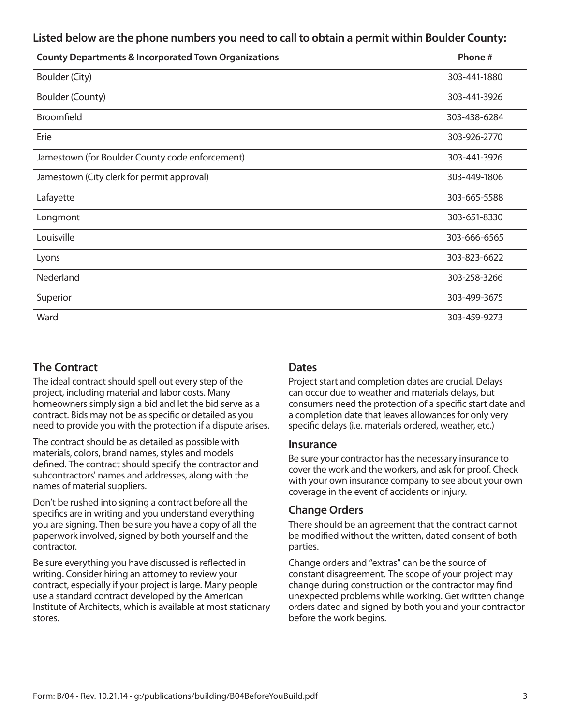#### **Listed below are the phone numbers you need to call to obtain a permit within Boulder County:**

| <b>County Departments &amp; Incorporated Town Organizations</b> | Phone#       |
|-----------------------------------------------------------------|--------------|
| Boulder (City)                                                  | 303-441-1880 |
| Boulder (County)                                                | 303-441-3926 |
| <b>Broomfield</b>                                               | 303-438-6284 |
| Erie                                                            | 303-926-2770 |
| Jamestown (for Boulder County code enforcement)                 | 303-441-3926 |
| Jamestown (City clerk for permit approval)                      | 303-449-1806 |
| Lafayette                                                       | 303-665-5588 |
| Longmont                                                        | 303-651-8330 |
| Louisville                                                      | 303-666-6565 |
| Lyons                                                           | 303-823-6622 |
| Nederland                                                       | 303-258-3266 |
| Superior                                                        | 303-499-3675 |
| Ward                                                            | 303-459-9273 |

#### **The Contract**

The ideal contract should spell out every step of the project, including material and labor costs. Many homeowners simply sign a bid and let the bid serve as a contract. Bids may not be as specific or detailed as you need to provide you with the protection if a dispute arises.

The contract should be as detailed as possible with materials, colors, brand names, styles and models defined. The contract should specify the contractor and subcontractors' names and addresses, along with the names of material suppliers.

Don't be rushed into signing a contract before all the specifics are in writing and you understand everything you are signing. Then be sure you have a copy of all the paperwork involved, signed by both yourself and the contractor.

Be sure everything you have discussed is reflected in writing. Consider hiring an attorney to review your contract, especially if your project is large. Many people use a standard contract developed by the American Institute of Architects, which is available at most stationary stores.

#### **Dates**

Project start and completion dates are crucial. Delays can occur due to weather and materials delays, but consumers need the protection of a specific start date and a completion date that leaves allowances for only very specific delays (i.e. materials ordered, weather, etc.)

#### **Insurance**

Be sure your contractor has the necessary insurance to cover the work and the workers, and ask for proof. Check with your own insurance company to see about your own coverage in the event of accidents or injury.

#### **Change Orders**

There should be an agreement that the contract cannot be modified without the written, dated consent of both parties.

Change orders and "extras" can be the source of constant disagreement. The scope of your project may change during construction or the contractor may find unexpected problems while working. Get written change orders dated and signed by both you and your contractor before the work begins.